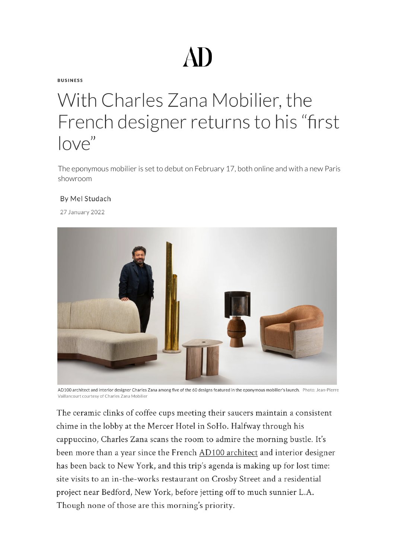## AD

**BUSINESS** 

## With Charles Zana Mobilier, the French designer returns to his "first love"

The eponymous mobilier is set to debut on February 17, both online and with a new Paris showroom

## By Mel Studach

27 January 2022



AD100 architect and interior designer Charles Zana among five of the 60 designs featured in the eponymous mobilier's launch. Photo: Jean-Pierre Vaillancourt courtesy of Charles Zana Mobilier

The ceramic clinks of coffee cups meeting their saucers maintain a consistent chime in the lobby at the Mercer Hotel in SoHo. Halfway through his cappuccino, Charles Zana scans the room to admire the morning bustle. It's been more than a year since the French AD100 architect and interior designer has been back to New York, and this trip's agenda is making up for lost time: site visits to an in-the-works restaurant on Crosby Street and a residential project near Bedford, New York, before jetting off to much sunnier L.A. Though none of those are this morning's priority.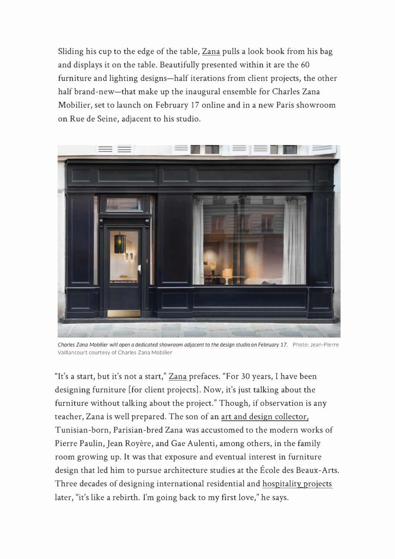Sliding his cup to the edge of the table, Zana pulls a look book from his bag and displays it on the table. Beautifully presented within it are the 60 furniture and lighting designs-half iterations from client projects, the other half brand-new-that make up the inaugural ensemble for Charles Zana Mobilier, set to launch on February 17 online and in a new Paris showroom on Rue de Seine, adjacent to his studio.



*Charles Zana Mobilier wi!l open a dedicated showroom adjacent to the design studio on February* 17. Photo: Jean-Pierre Vaillancourt courtesy of Charles Zana Mobilier

"It's a start, but it's not a start," Zana prefaces. "For 30 years, I have been designing furniture [for client projects]. Now, it's just talking about the furniture without talking about the project." Though, if observation is any teacher, Zana is well prepared. The son of an art and design collector, Tunisian-born, Parisian-bred Zana was accustomed to the modern works of Pierre Paulin, Jean Royère, and Gae Aulenti, among others, in the family room growing up. It was that exposure and eventual interest in furniture design that led him to pursue architecture studies at the Ecole des Beaux-Arts. Three decades of designing international residential and hospitality projects later, "it's like a rebirth. I'm going back to my first love," he says.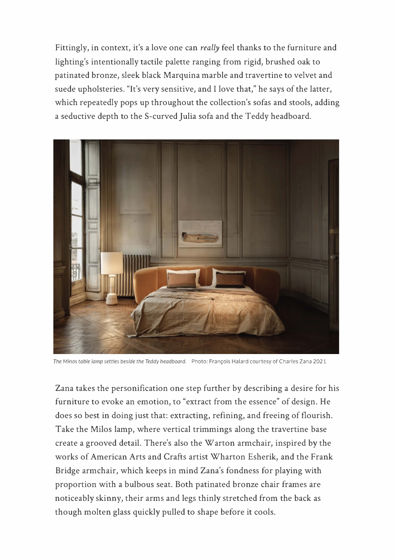Fittingly, in context, it's a love one can *really* feel thanks to the furniture and lighting's intentionally tactile palette ranging from rigid, brushed oak to patinated bronze, sleek black Marquina marble and travertine to velvet and suede upholsteries. "It's very sensitive, and I love that," he says of the latter, which repeatedly pops up throughout the collection's sofas and stools, adding a seductive depth to the S-curved Julia sofa and the Teddy headboard.



*The Minos table lamp settles beside the Teddy headboard.* Photo: Fran9ois Halard courtesy of Charles Zana 2021

Zana takes the personification one step further by describing a desire for his furniture to evoke an emotion, to "extract from the essence" of design. He does so best in doing just that: extracting, refining, and freeing of flourish. Take the Milos lamp, where vertical trimmings along the travertine base create a grooved detail. There's also the Warton armchair, inspired by the works of American Arts and Crafts artist Wharton Esherik, and the Frank Bridge armchair, which keeps in mind Zana's fondness for playing with proportion with a bulbous seat. Both patinated bronze chair frames are noticeably skinny, their arms and legs thinly stretched from the back as though molten glass quickly pulled to shape before it cools.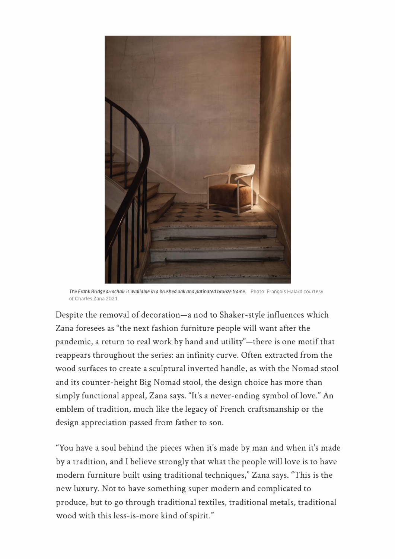

The Frank Bridge armchair is available in a brushed oak and patinated bronze frame. Photo: François Halard courtesy of Charles Zana 2021

Despite the removal of decoration-a nod to Shaker-style influences which Zana foresees as "the next fashion furniture people will want after the pandemic, a return to real work by hand and utility"-there is one motif that reappears throughout the series: an infinity curve. Often extracted from the wood surfaces to create a sculptural inverted handle, as with the Nomad stool and its counter-height Big Nomad stool, the design choice has more than simply functional appeal, Zana says. "It's a never-ending symbol of love." An emblem of tradition, much like the legacy of French craftsmanship or the design appreciation passed from father to son.

"You have a soul behind the pieces when it's made by man and when it's made by a tradition, and I believe strongly that what the people will love is to have modern furniture built using traditional techniques," Zana says. "This is the new luxury. Not to have something super modern and complicated to produce, but to go through traditional textiles, traditional metals, traditional wood with this less-is-more kind of spirit."